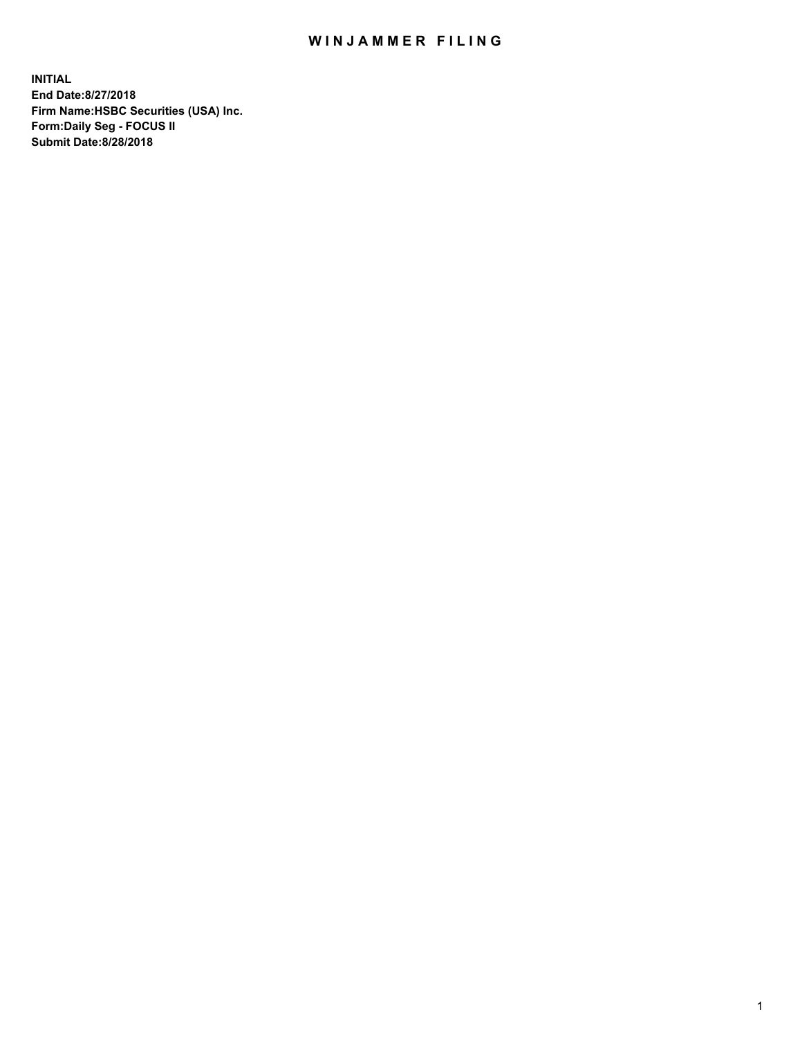## WIN JAMMER FILING

**INITIAL End Date:8/27/2018 Firm Name:HSBC Securities (USA) Inc. Form:Daily Seg - FOCUS II Submit Date:8/28/2018**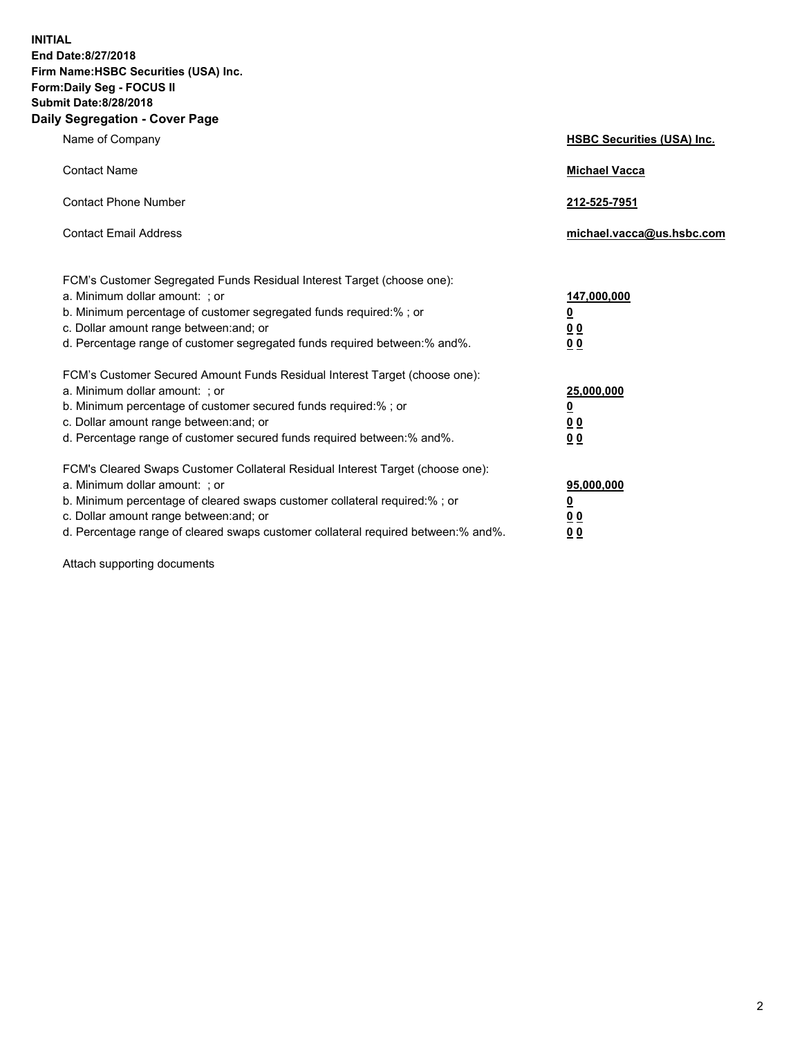**INITIAL End Date:8/27/2018 Firm Name:HSBC Securities (USA) Inc. Form:Daily Seg - FOCUS II Submit Date:8/28/2018 Daily Segregation - Cover Page**

| Name of Company                                                                                                                                                                                                                                                                                                                | <b>HSBC Securities (USA) Inc.</b>                                          |
|--------------------------------------------------------------------------------------------------------------------------------------------------------------------------------------------------------------------------------------------------------------------------------------------------------------------------------|----------------------------------------------------------------------------|
| <b>Contact Name</b>                                                                                                                                                                                                                                                                                                            | <b>Michael Vacca</b>                                                       |
| <b>Contact Phone Number</b>                                                                                                                                                                                                                                                                                                    | 212-525-7951                                                               |
| <b>Contact Email Address</b>                                                                                                                                                                                                                                                                                                   | michael.vacca@us.hsbc.com                                                  |
| FCM's Customer Segregated Funds Residual Interest Target (choose one):<br>a. Minimum dollar amount: : or<br>b. Minimum percentage of customer segregated funds required:% ; or<br>c. Dollar amount range between: and; or<br>d. Percentage range of customer segregated funds required between:% and%.                         | 147,000,000<br>$\overline{\mathbf{0}}$<br>0 <sub>0</sub><br>0 <sub>0</sub> |
| FCM's Customer Secured Amount Funds Residual Interest Target (choose one):<br>a. Minimum dollar amount: ; or<br>b. Minimum percentage of customer secured funds required:%; or<br>c. Dollar amount range between: and; or<br>d. Percentage range of customer secured funds required between:% and%.                            | 25,000,000<br><u>0</u><br>0 <sub>0</sub><br>00                             |
| FCM's Cleared Swaps Customer Collateral Residual Interest Target (choose one):<br>a. Minimum dollar amount: ; or<br>b. Minimum percentage of cleared swaps customer collateral required:% ; or<br>c. Dollar amount range between: and; or<br>d. Percentage range of cleared swaps customer collateral required between:% and%. | 95,000,000<br><u>0</u><br>00<br>0 <sub>0</sub>                             |

Attach supporting documents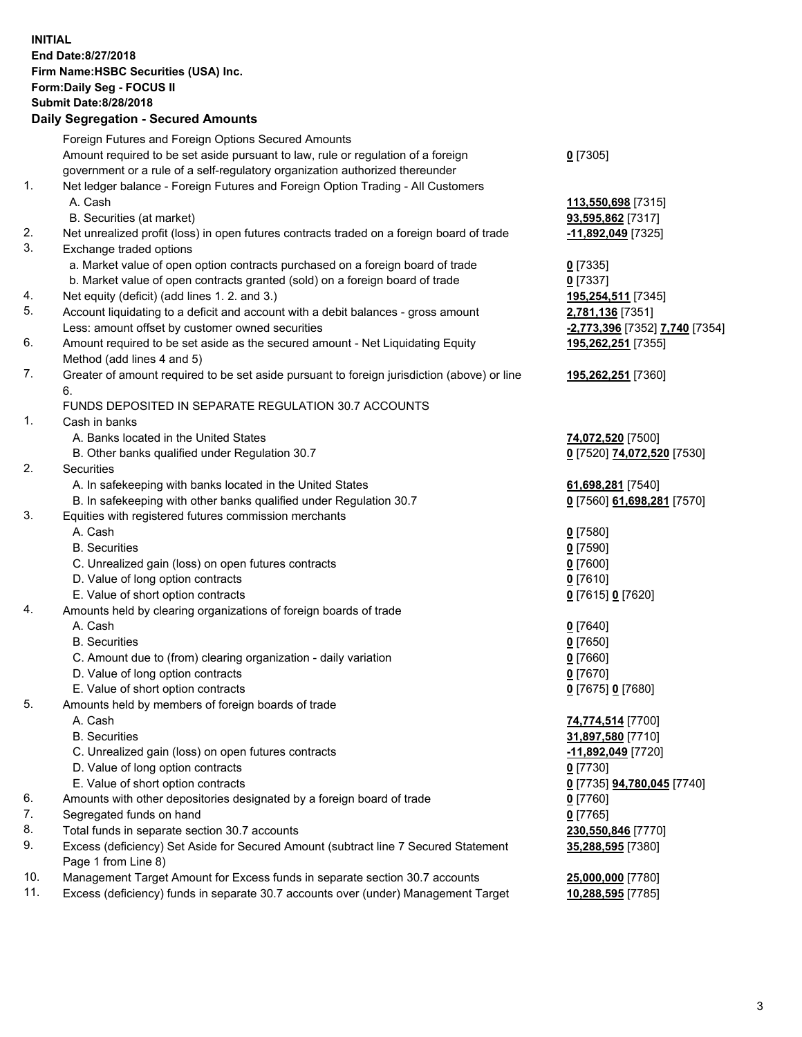**INITIAL End Date:8/27/2018 Firm Name:HSBC Securities (USA) Inc. Form:Daily Seg - FOCUS II Submit Date:8/28/2018 Daily Segregation - Secured Amounts** Foreign Futures and Foreign Options Secured Amounts Amount required to be set aside pursuant to law, rule or regulation of a foreign government or a rule of a self-regulatory organization authorized thereunder 1. Net ledger balance - Foreign Futures and Foreign Option Trading - All Customers A. Cash **113,550,698** [7315] B. Securities (at market) **93,595,862** [7317] 2. Net unrealized profit (loss) in open futures contracts traded on a foreign board of trade **-11,892,049** [7325] 3. Exchange traded options a. Market value of open option contracts purchased on a foreign board of trade **0** [7335] b. Market value of open contracts granted (sold) on a foreign board of trade **0** [7337] 4. Net equity (deficit) (add lines 1. 2. and 3.) **195,254,511** [7345] 5. Account liquidating to a deficit and account with a debit balances - gross amount **2,781,136** [7351] Less: amount offset by customer owned securities **-2,773,396** [7352] **7,740** [7354] 6. Amount required to be set aside as the secured amount - Net Liquidating Equity Method (add lines 4 and 5) 7. Greater of amount required to be set aside pursuant to foreign jurisdiction (above) or line 6. FUNDS DEPOSITED IN SEPARATE REGULATION 30.7 ACCOUNTS 1. Cash in banks A. Banks located in the United States **74,072,520** [7500] B. Other banks qualified under Regulation 30.7 **0** [7520] **74,072,520** [7530] 2. Securities A. In safekeeping with banks located in the United States **61,698,281** [7540] B. In safekeeping with other banks qualified under Regulation 30.7 **0** [7560] **61,698,281** [7570]

- 3. Equities with registered futures commission merchants
	- A. Cash **0** [7580]
	- B. Securities **0** [7590]
	- C. Unrealized gain (loss) on open futures contracts **0** [7600]
	- D. Value of long option contracts **0** [7610]
	- E. Value of short option contracts **0** [7615] **0** [7620]
- 4. Amounts held by clearing organizations of foreign boards of trade
	- A. Cash **0** [7640]
	- B. Securities **0** [7650]
	- C. Amount due to (from) clearing organization daily variation **0** [7660]
	- D. Value of long option contracts **0** [7670]
	- E. Value of short option contracts **0** [7675] **0** [7680]
- 5. Amounts held by members of foreign boards of trade
	-
	-
	- C. Unrealized gain (loss) on open futures contracts **-11,892,049** [7720]
	- D. Value of long option contracts **0** [7730]
	- E. Value of short option contracts **0** [7735] **94,780,045** [7740]
- 6. Amounts with other depositories designated by a foreign board of trade **0** [7760]
- 7. Segregated funds on hand **0** [7765]
- 8. Total funds in separate section 30.7 accounts **230,550,846** [7770]
- 9. Excess (deficiency) Set Aside for Secured Amount (subtract line 7 Secured Statement Page 1 from Line 8)
- 10. Management Target Amount for Excess funds in separate section 30.7 accounts **25,000,000** [7780]
- 11. Excess (deficiency) funds in separate 30.7 accounts over (under) Management Target **10,288,595** [7785]

**195,262,251** [7355] **195,262,251** [7360] A. Cash **74,774,514** [7700] B. Securities **31,897,580** [7710]

**35,288,595** [7380]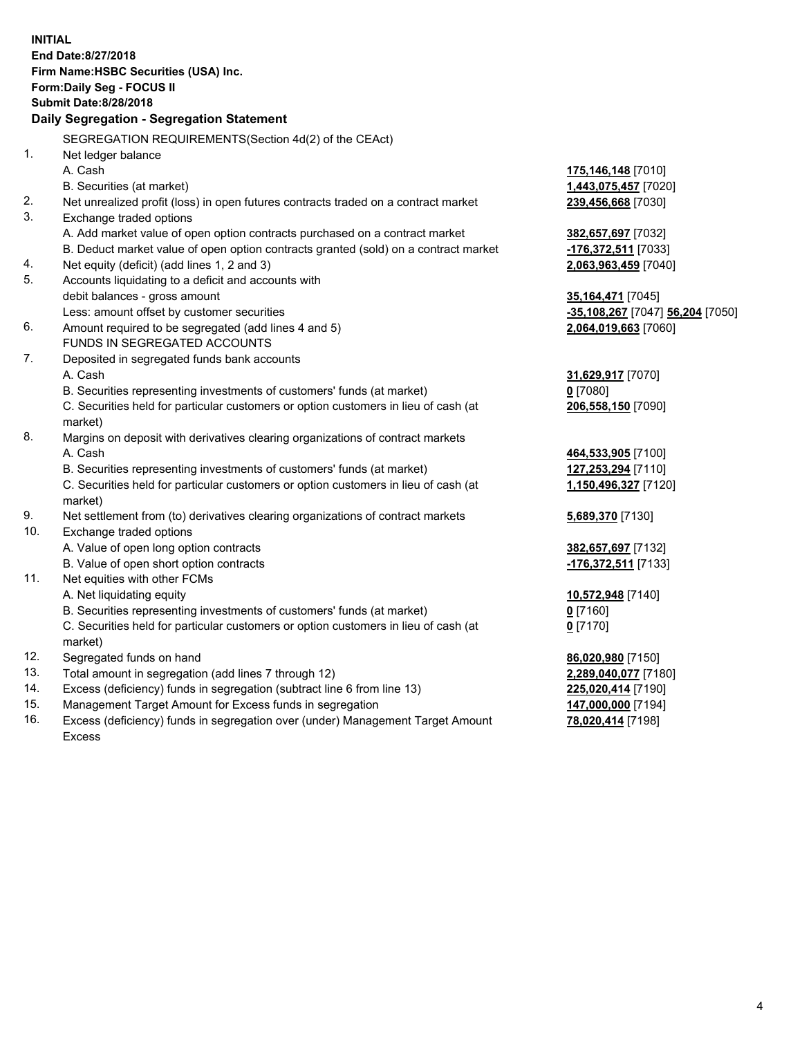|            | <b>INITIAL</b>                                                                                                                  |                                          |
|------------|---------------------------------------------------------------------------------------------------------------------------------|------------------------------------------|
|            | End Date: 8/27/2018                                                                                                             |                                          |
|            | Firm Name: HSBC Securities (USA) Inc.                                                                                           |                                          |
|            | Form: Daily Seg - FOCUS II                                                                                                      |                                          |
|            | <b>Submit Date: 8/28/2018</b>                                                                                                   |                                          |
|            | Daily Segregation - Segregation Statement                                                                                       |                                          |
|            | SEGREGATION REQUIREMENTS(Section 4d(2) of the CEAct)                                                                            |                                          |
| 1.         | Net ledger balance                                                                                                              |                                          |
|            | A. Cash                                                                                                                         | 175,146,148 [7010]                       |
|            | B. Securities (at market)                                                                                                       | 1,443,075,457 [7020]                     |
| 2.         | Net unrealized profit (loss) in open futures contracts traded on a contract market                                              | 239,456,668 [7030]                       |
| 3.         | Exchange traded options                                                                                                         |                                          |
|            | A. Add market value of open option contracts purchased on a contract market                                                     | 382,657,697 [7032]                       |
|            | B. Deduct market value of open option contracts granted (sold) on a contract market                                             | -176,372,511 [7033]                      |
| 4.         | Net equity (deficit) (add lines 1, 2 and 3)                                                                                     | 2,063,963,459 [7040]                     |
| 5.         | Accounts liquidating to a deficit and accounts with                                                                             |                                          |
|            | debit balances - gross amount                                                                                                   | 35,164,471 [7045]                        |
|            | Less: amount offset by customer securities                                                                                      | -35,108,267 [7047] 56,204 [7050]         |
| 6.         | Amount required to be segregated (add lines 4 and 5)                                                                            | 2,064,019,663 [7060]                     |
|            | FUNDS IN SEGREGATED ACCOUNTS                                                                                                    |                                          |
| 7.         | Deposited in segregated funds bank accounts                                                                                     |                                          |
|            | A. Cash                                                                                                                         | 31,629,917 [7070]                        |
|            | B. Securities representing investments of customers' funds (at market)                                                          | $0$ [7080]                               |
|            | C. Securities held for particular customers or option customers in lieu of cash (at                                             | 206,558,150 [7090]                       |
|            | market)                                                                                                                         |                                          |
| 8.         | Margins on deposit with derivatives clearing organizations of contract markets                                                  |                                          |
|            | A. Cash                                                                                                                         | 464,533,905 [7100]                       |
|            | B. Securities representing investments of customers' funds (at market)                                                          | 127,253,294 [7110]                       |
|            | C. Securities held for particular customers or option customers in lieu of cash (at                                             | 1,150,496,327 [7120]                     |
|            | market)                                                                                                                         |                                          |
| 9.         | Net settlement from (to) derivatives clearing organizations of contract markets                                                 | 5,689,370 [7130]                         |
| 10.        | Exchange traded options                                                                                                         |                                          |
|            | A. Value of open long option contracts                                                                                          | 382,657,697 [7132]                       |
|            | B. Value of open short option contracts                                                                                         | -176,372,511 [7133]                      |
| 11.        | Net equities with other FCMs                                                                                                    |                                          |
|            | A. Net liquidating equity                                                                                                       | 10,572,948 [7140]                        |
|            | B. Securities representing investments of customers' funds (at market)                                                          | $0$ [7160]                               |
|            | C. Securities held for particular customers or option customers in lieu of cash (at                                             | $0$ [7170]                               |
|            | market)                                                                                                                         |                                          |
| 12.<br>13. | Segregated funds on hand                                                                                                        | 86,020,980 [7150]                        |
| 14.        | Total amount in segregation (add lines 7 through 12)<br>Excess (deficiency) funds in segregation (subtract line 6 from line 13) | 2,289,040,077 [7180]                     |
| 15.        | Management Target Amount for Excess funds in segregation                                                                        | 225,020,414 [7190]<br>147,000,000 [7194] |
| 16.        | Excess (deficiency) funds in segregation over (under) Management Target Amount                                                  | 78,020,414 [7198]                        |
|            |                                                                                                                                 |                                          |

16. Excess (deficiency) funds in segregation over (under) Management Target Amount Excess